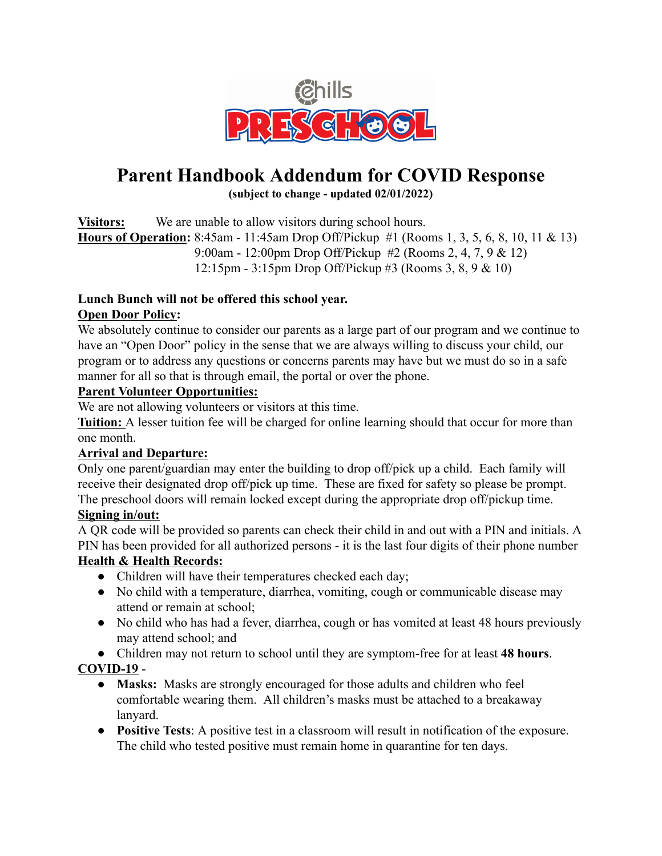

# **Parent Handbook Addendum for COVID Response**

**(subject to change - updated 02/01/2022)**

**Visitors:** We are unable to allow visitors during school hours. **Hours of Operation:** 8:45am - 11:45am Drop Off/Pickup #1 (Rooms 1, 3, 5, 6, 8, 10, 11 & 13) 9:00am - 12:00pm Drop Off/Pickup #2 (Rooms 2, 4, 7, 9 & 12) 12:15pm - 3:15pm Drop Off/Pickup #3 (Rooms 3, 8, 9 & 10)

# **Lunch Bunch will not be offered this school year.**

## **Open Door Policy:**

We absolutely continue to consider our parents as a large part of our program and we continue to have an "Open Door" policy in the sense that we are always willing to discuss your child, our program or to address any questions or concerns parents may have but we must do so in a safe manner for all so that is through email, the portal or over the phone.

#### **Parent Volunteer Opportunities:**

We are not allowing volunteers or visitors at this time.

**Tuition:** A lesser tuition fee will be charged for online learning should that occur for more than one month.

#### **Arrival and Departure:**

Only one parent/guardian may enter the building to drop off/pick up a child. Each family will receive their designated drop off/pick up time. These are fixed for safety so please be prompt. The preschool doors will remain locked except during the appropriate drop off/pickup time.

## **Signing in/out:**

A QR code will be provided so parents can check their child in and out with a PIN and initials. A PIN has been provided for all authorized persons - it is the last four digits of their phone number

# **Health & Health Records:**

- Children will have their temperatures checked each day;
- No child with a temperature, diarrhea, vomiting, cough or communicable disease may attend or remain at school;
- No child who has had a fever, diarrhea, cough or has vomited at least 48 hours previously may attend school; and
- Children may not return to school until they are symptom-free for at least **48 hours**.
- **COVID-19**
	- **Masks:** Masks are strongly encouraged for those adults and children who feel comfortable wearing them. All children's masks must be attached to a breakaway lanyard.
	- **Positive Tests**: A positive test in a classroom will result in notification of the exposure. The child who tested positive must remain home in quarantine for ten days.